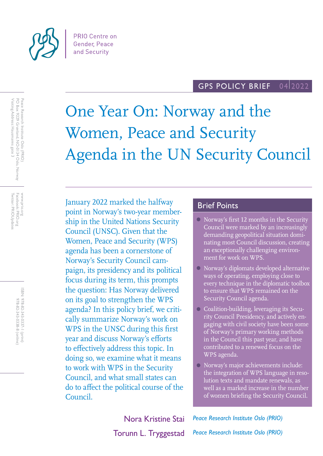

### GPS POLICY BRIEF 04 2022

# One Year On: Norway and the Women, Peace and Security Agenda in the UN Security Council

January 2022 marked the halfway point in Norway's two-year membership in the United Nations Security Council (UNSC). Given that the Women, Peace and Security (WPS) agenda has been a cornerstone of Norway's Security Council campaign, its presidency and its political focus during its term, this prompts the question: Has Norway delivered on its goal to strengthen the WPS agenda? In this policy brief, we critically summarize Norway's work on WPS in the UNSC during this first year and discuss Norway's efforts to effectively address this topic. In doing so, we examine what it means to work with WPS in the Security Council, and what small states can do to affect the political course of the Council.

# Brief Points

- Norway's first 12 months in the Security Council were marked by an increasingly demanding geopolitical situation dominating most Council discussion, creating an exceptionally challenging environment for work on WPS.
- Norway's diplomats developed alternative ways of operating, employing close to every technique in the diplomatic toolbox to ensure that WPS remained on the Security Council agenda.
- Coalition-building, leveraging its Security Council Presidency, and actively engaging with civil society have been some of Norway's primary working methods in the Council this past year, and have contributed to a renewed focus on the WPS agenda.
- Norway's major achievements include: the integration of WPS language in resolution texts and mandate renewals, as well as a marked increase in the number of women briefing the Security Council.

Torunn L. Tryggestad *Peace Research Institute Oslo (PRIO)*

Nora Kristine Stai *Peace Research Institute Oslo (PRIO)*

Peace Research Institute Oslo (PRIO)<br>PO Box 9229 Grønland, NO-0134 Oslo, Norway<br>Visiting Address: Hausmanns gate 3 Visiting Address: Hausmanns gate 3 PO Box 9229 Grønland, NO-0134 Oslo, Norway Peace Research Institute Oslo (PRIO)

www.prio.org<br>Facebook: PRIO.org<br>Twitter: PRIOUpdates Twitter: PRIOUpdates Facebook: PRIO.org www.prio.org

> ISBN: 978-82-343-0337-1 (print) 978-82-343-0338-8 (online 978-82-343-0338-8 (online) 978-82-343-0337-1 (print)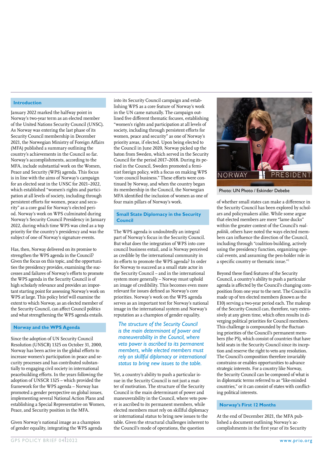## **Introduction**

January 2022 marked the halfway point in Norway's two-year term as an elected member of the United Nations Security Council (UNSC). As Norway was entering the last phase of its Security Council membership in December 2021, the Norwegian Ministry of Foreign Affairs (MFA) published a summary outlining the country's achievements in the Council so far. Norway's accomplishments, according to the MFA, include substantial work on the Women, Peace and Security (WPS) agenda. This focus is in line with the aims of Norway's campaign for an elected seat in the UNSC for 2021–2022, which established "women's rights and participation at all levels of society, including through persistent efforts for women, peace and security" as a core goal for Norway's elected period. Norway's work on WPS culminated during Norway's Security Council Presidency in January 2022, during which time WPS was cited as a top priority for the country's presidency and was the subject of one of Norway's signature events.

Has, then, Norway delivered on its promise to strengthen the WPS agenda in the Council? Given the focus on this topic, and the opportunities the presidency provides, examining the successes and failures of Norway's efforts to promote the WPS agenda in the Security Council is of high scholarly relevance and provides an important starting point for assessing Norway's work on WPS at large. This policy brief will examine the extent to which Norway, as an elected member of the Security Council, can affect Council politics and what strengthening the WPS agenda entails.

### **Norway and the WPS Agenda**

Since the adoption of UN Security Council Resolution (UNSCR) 1325 on October 31, 2000, Norway has been active in the global efforts to increase women's participation in peace and security processes and has contributed substantially to engaging civil society in international peacebuilding efforts. In the years following the adoption of UNSCR 1325 – which provided the framework for the WPS agenda – Norway has promoted a gender perspective on global issues, implementing several National Action Plans and establishing a Special Representative on Women, Peace, and Security position in the MFA.

Given Norway's national image as a champion of gender equality, integrating the WPS agenda

in the UN came naturally. The campaign outlined five different thematic focuses, establishing "women's rights and participation at all levels of society, including through persistent efforts for women, peace and security" as one of Norway's priority areas, if elected. Upon being elected to the Council in June 2020, Norway picked up the baton from Sweden, which served in the Security Council for the period 2017–2018. During its period in the Council, Sweden promoted a feminist foreign policy, with a focus on making WPS "core council business." These efforts were continued by Norway, and when the country began its membership in the Council, the Norwegian MFA identified the inclusion of women as one of four main pillars of Norway's work. **Small State Diplomacy in the Security Council**

into its Security Council campaign and establishing WPS as a core feature of Norway's work

The WPS agenda is undoubtedly an integral part of Norway's focus in the Security Council. But what does the integration of WPS into core council business entail, and is Norway perceived as credible by the international community in its efforts to promote the WPS agenda? In order for Norway to succeed as a small state actor in the Security Council – and in the international system more generally – Norway must uphold an image of credibility. This becomes even more relevant for issues defined as Norway's core priorities. Norway's work on the WPS agenda serves as an important test for Norway's national image in the international system and Norway's reputation as a champion of gender equality.

*The structure of the Security Council is the main determinant of power and maneuverability in the Council, where veto power is ascribed to its permanent members, while elected members must rely on skillful diplomacy or international status to bring new issues to the table.*

Yet, a country's ability to push a particular issue in the Security Council is not just a matter of motivation. The structure of the Security Council is the main determinant of power and maneuverability in the Council, where veto power is ascribed to its permanent members, while elected members must rely on skillful diplomacy or international status to bring new issues to the table. Given the structural challenges inherent to the Council's mode of operations, the question



Photo: UN Photo / Eskinder Debebe

of whether small states can make a difference in the Security Council has been explored by scholars and policymakers alike. While some argue that elected members are mere "lame ducks" within the greater context of the Council's *realpolitik*, others have noted the ways elected members can influence the direction of the Council, including through "coalition-building, actively using the presidency function, organizing special events, and assuming the pen-holder role in a specific country or thematic issue."1

Beyond these fixed features of the Security Council, a country's ability to push a particular agenda is affected by the Council's changing composition from one year to the next. The Council is made up of ten elected members (known as the E10) serving a two-year period each. The makeup of the Security Council can, therefore, vary extensively at any given time, which often results in diverging political priorities for Council members. This challenge is compounded by the fluctuating priorities of the Council's permanent members (the P5), which consist of countries that have held seats in the Security Council since its inception and reserve the right to veto any resolution. The Council's composition therefore invariably constrains or enables opportunities to advance strategic interests. For a country like Norway, the Security Council can be composed of what is in diplomatic terms referred to as "like-minded countries," or it can consist of states with conflicting political interests.

# **Norway's First 12 Months**

At the end of December 2021, the MFA published a document outlining Norway's accomplishments in the first year of its Security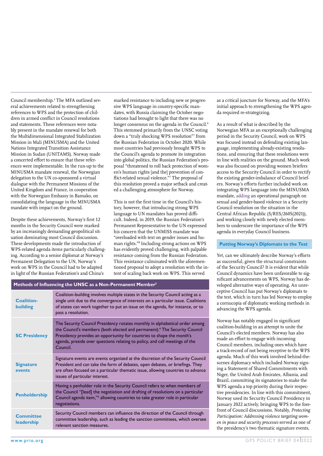Council membership.2 The MFA outlined several achievements related to strengthening references to WPS and the protection of children in armed conflict in Council resolutions and statements. These references were notably present in the mandate renewal for both the Multidimensional Integrated Stabilization Mission in Mali (MINUSMA) and the United Nations Integrated Transition Assistance Mission in Sudan (UNITAMS). Norway made a concerted effort to ensure that these references were implementable. In the run-up to the MINUSMA mandate renewal, the Norwegian delegation to the UN co-sponsored a virtual dialogue with the Permanent Missions of the United Kingdom and France, in cooperation with the Norwegian Embassy in Bamako, on consolidating the language in the MINUSMA mandate with impact on the ground.

Despite these achievements, Norway's first 12 months in the Security Council were marked by an increasingly demanding geopolitical situation dominating most Council discussion. These developments made the introduction of WPS-related agenda items particularly challenging. According to a senior diplomat at Norway's Permanent Delegation to the UN, Norway's work on WPS in the Council had to be adapted in light of the Russian Federation's and China's

marked resistance to including new or progressive WPS language in country-specific mandates, with Russia claiming the October negotiations had brought to light that there was no longer consensus on the agenda in the Council.<sup>6</sup> This stemmed primarily from the UNSC voting down a "truly shocking WPS resolution"<sup>7</sup> from the Russian Federation in October 2020. While most countries had previously brought WPS to the Council's agenda to promote its integration into global politics, the Russian Federation's proposal "threatened to roll back protection of women's human rights [and the] prevention of conflict-related sexual violence."7 The proposal of this resolution proved a major setback and created a challenging atmosphere for Norway.

This is not the first time in the Council's history, however, that introducing strong WPS language to UN mandates has proved difficult. Indeed, in 2019, the Russian Federation's Permanent Representative to the UN expressed his concern that the UNMISS mandate was "overloaded with text on gender issues and human rights."<sup>8</sup> Including strong actions on WPS has evidently proved challenging, with palpable resistance coming from the Russian Federation. This resistance culminated with the aforementioned proposal to adopt a resolution with the intent of scaling back work on WPS. This served

| Methods of Influencing the UNSC as a Non-Permanent Member <sup>3</sup> |                                                                                                                                                                                                                                                                                                                                          |
|------------------------------------------------------------------------|------------------------------------------------------------------------------------------------------------------------------------------------------------------------------------------------------------------------------------------------------------------------------------------------------------------------------------------|
| <b>Coalition-</b><br>building                                          | Coalition-building involves multiple states in the Security Council acting as a<br>single unit due to the convergence of interests on a particular issue. Coalitions<br>of states can work together to put an issue on the agenda, for instance, or to<br>pass a resolution.                                                             |
| <b>SC Presidency</b>                                                   | The Security Council Presidency rotates monthly in alphabetical order among<br>the Council's members (both elected and permanent). <sup>4</sup> The Security Council<br>Presidency provides an opportunity for countries to shape the month's<br>agenda, preside over questions relating to policy, and call meetings of the<br>Council. |
| <b>Signature</b><br>events                                             | Signature events are events organized at the discretion of the Security Council<br>President and can take the form of debates, open debates, or briefings. They<br>are often focused on a particular thematic issue, allowing countries to advance<br>issues of particular interest.                                                     |
| <b>Penholdership</b>                                                   | Having a penholder role in the Security Council refers to when members of<br>the Council "[lead] the negotiation and drafting of resolutions on a particular<br>Council agenda item," <sup>5</sup> allowing countries to take greater role in particular<br>negotiations.                                                                |
| <b>Committee</b><br>leadership                                         | Security Council members can influence the direction of the Council through<br>committee leadership, such as leading the sanction committees, which oversee<br>relevant sanction measures.                                                                                                                                               |

as a critical juncture for Norway, and the MFA's initial approach to strengthening the WPS agenda required re-strategizing.

As a result of what is described by the Norwegian MFA as an exceptionally challenging period in the Security Council, work on WPS was focused instead on defending existing language, implementing already-existing resolutions, and ensuring that these resolutions were in line with realities on the ground. Much work was also focused on providing women briefers access to the Security Council in order to rectify the existing gender-imbalance of Council briefers. Norway's efforts further included work on integrating WPS language into the MINUSMA mandate, adding an operational paragraph on sexual and gender-based violence in a Security Council resolution on the situation in the Central African Republic (S/RES/2605(2021)), and working closely with newly elected members to underscore the importance of the WPS agenda in everyday Council business.

# **Putting Norway's Diplomats to the Test**

Yet, can we ultimately describe Norway's efforts as successful, given the structural constraints of the Security Council? It is evident that while Council dynamics have been unfavorable to significant advancements on WPS, Norway has developed alternative ways of operating. An unreceptive Council has put Norway's diplomats to the test, which in turn has led Norway to employ a cornucopia of diplomatic working methods in advancing the WPS agenda.

Norway has notably engaged in significant coalition-building in an attempt to unite the Council's elected members. Norway has also made an effort to engage with incoming Council members, including ones which have a track-record of not being receptive to the WPS agenda. Much of this work involved behind-thescenes diplomacy which included Norway signing a Statement of Shared Commitments with Niger, the United Arab Emirates, Albania, and Brazil, committing its signatories to make the WPS agenda a top priority during their respective presidencies. In line with this commitment, Norway used its Security Council Presidency in January 2022 actively, bringing WPS to the forefront of Council discussions. Notably, *Protecting Participation: Addressing violence targeting women in peace and security processes* served as one of the presidency's two thematic signature events,